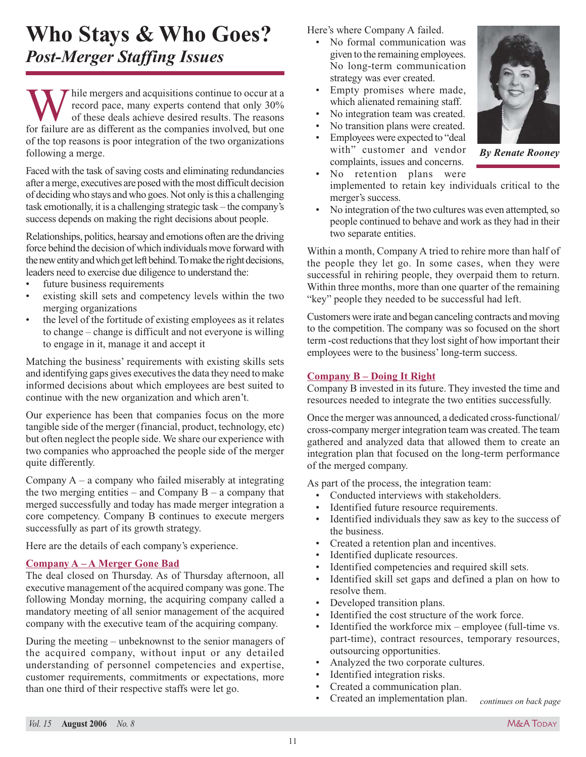# **Who Stays & Who Goes?** *Post-Merger Staffing Issues*

W hile mergers and acquisitions continue to occur at a<br>record pace, many experts contend that only 30%<br>of these deals achieve desired results. The reasons<br>for failure are as different as the companies involved but one record pace, many experts contend that only 30% of these deals achieve desired results. The reasons for failure are as different as the companies involved, but one of the top reasons is poor integration of the two organizations following a merge.

Faced with the task of saving costs and eliminating redundancies after a merge, executives are posed with the most difficult decision of deciding who stays and who goes. Not only is this a challenging task emotionally, it is a challenging strategic task – the company's success depends on making the right decisions about people.

Relationships, politics, hearsay and emotions often are the driving force behind the decision of which individuals move forward with the new entity and which get left behind. To make the right decisions, leaders need to exercise due diligence to understand the:

- future business requirements
- existing skill sets and competency levels within the two merging organizations
- the level of the fortitude of existing employees as it relates to change – change is difficult and not everyone is willing to engage in it, manage it and accept it

Matching the business' requirements with existing skills sets and identifying gaps gives executives the data they need to make informed decisions about which employees are best suited to continue with the new organization and which aren't.

Our experience has been that companies focus on the more tangible side of the merger (financial, product, technology, etc) but often neglect the people side. We share our experience with two companies who approached the people side of the merger quite differently.

Company  $A - a$  company who failed miserably at integrating the two merging entities – and Company  $B - a$  company that merged successfully and today has made merger integration a core competency. Company B continues to execute mergers successfully as part of its growth strategy.

Here are the details of each company's experience.

## **Company A – A Merger Gone Bad**

The deal closed on Thursday. As of Thursday afternoon, all executive management of the acquired company was gone. The following Monday morning, the acquiring company called a mandatory meeting of all senior management of the acquired company with the executive team of the acquiring company.

During the meeting – unbeknownst to the senior managers of the acquired company, without input or any detailed understanding of personnel competencies and expertise, customer requirements, commitments or expectations, more than one third of their respective staffs were let go.

Here's where Company A failed.

- No formal communication was given to the remaining employees. No long-term communication strategy was ever created.
- Empty promises where made, which alienated remaining staff.
- No integration team was created.
- No transition plans were created.
- Employees were expected to "deal with" customer and vendor complaints, issues and concerns.
- No retention plans were implemented to retain key individuals critical to the merger's success.
- No integration of the two cultures was even attempted, so people continued to behave and work as they had in their two separate entities.

Within a month, Company A tried to rehire more than half of the people they let go. In some cases, when they were successful in rehiring people, they overpaid them to return. Within three months, more than one quarter of the remaining "key" people they needed to be successful had left.

Customers were irate and began canceling contracts and moving to the competition. The company was so focused on the short term -cost reductions that they lost sight of how important their employees were to the business' long-term success.

### **Company B – Doing It Right**

Company B invested in its future. They invested the time and resources needed to integrate the two entities successfully.

Once the merger was announced, a dedicated cross-functional/ cross-company merger integration team was created. The team gathered and analyzed data that allowed them to create an integration plan that focused on the long-term performance of the merged company.

As part of the process, the integration team:

- Conducted interviews with stakeholders.
- Identified future resource requirements.
- Identified individuals they saw as key to the success of the business.
- Created a retention plan and incentives.
- Identified duplicate resources.
- Identified competencies and required skill sets.
- Identified skill set gaps and defined a plan on how to resolve them.
- Developed transition plans.
- Identified the cost structure of the work force.
- Identified the workforce mix employee (full-time vs. part-time), contract resources, temporary resources, outsourcing opportunities.
- Analyzed the two corporate cultures.
- Identified integration risks.
- Created a communication plan.
- Created an implementation plan.



*continues on back page*